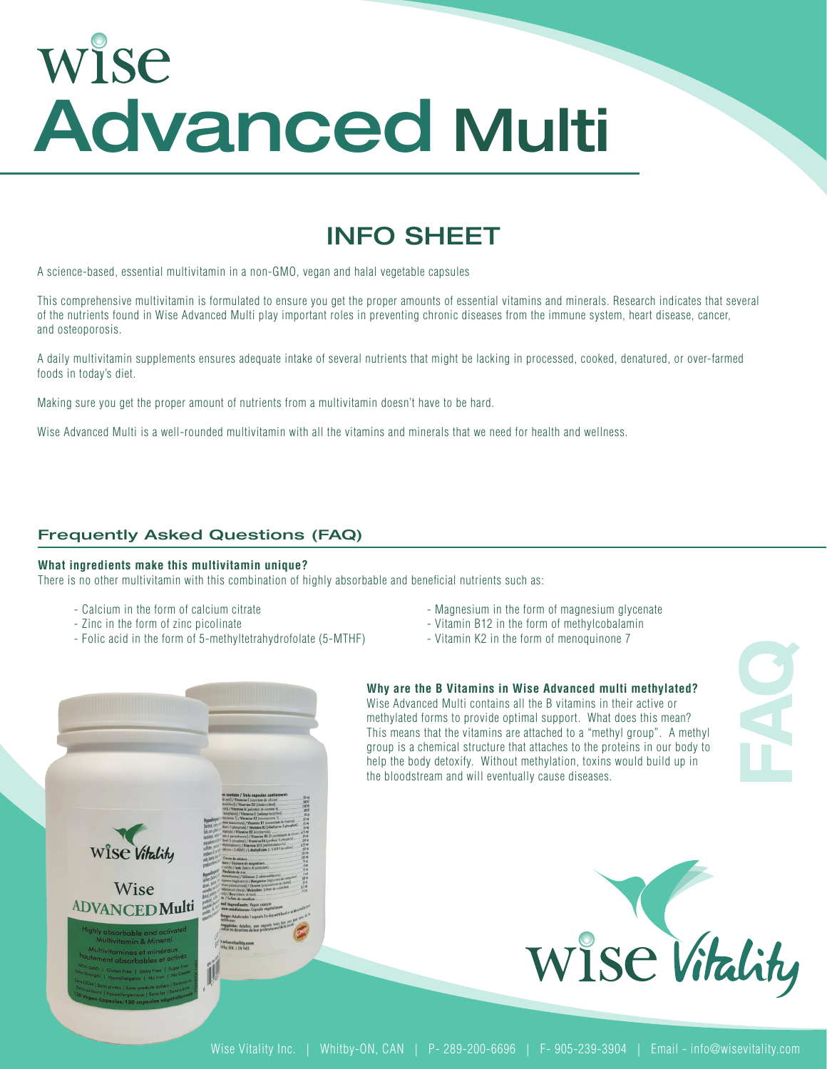# WISE Advanced Multi

### INFO SHEET

A science-based, essential multivitamin in a non-GMO, vegan and halal vegetable capsules

This comprehensive multivitamin is formulated to ensure you get the proper amounts of essential vitamins and minerals. Research indicates that several of the nutrients found in Wise Advanced Multi play important roles in preventing chronic diseases from the immune system, heart disease, cancer, and osteoporosis.

A daily multivitamin supplements ensures adequate intake of several nutrients that might be lacking in processed, cooked, denatured, or over-farmed foods in today's diet.

Making sure you get the proper amount of nutrients from a multivitamin doesn't have to be hard.

Wise Advanced Multi is a well-rounded multivitamin with all the vitamins and minerals that we need for health and wellness.

#### Frequently Asked Questions (FAQ)

#### **What ingredients make this multivitamin unique?**

There is no other multivitamin with this combination of highly absorbable and beneficial nutrients such as:

- 
- 
- Zinc in the form of zinc picolinate<br>- Folic acid in the form of 5-methyltetrahydrofolate (5-MTHF) Vitamin K2 in the form of menoquinone 7 - Folic acid in the form of 5-methyltetrahydrofolate (5-MTHF)
- Calcium in the form of calcium citrate Magnesium in the form of magnesium glycenate
	-
	-



#### **Why are the B Vitamins in Wise Advanced multi methylated?**

Wise Advanced Multi contains all the B vitamins in their active or methylated forms to provide optimal support. What does this mean? This means that the vitamins are attached to a "methyl group". A methyl group is a chemical structure that attaches to the proteins in our body to help the body detoxify. Without methylation, toxins would build up in the bloodstream and will eventually cause diseases.